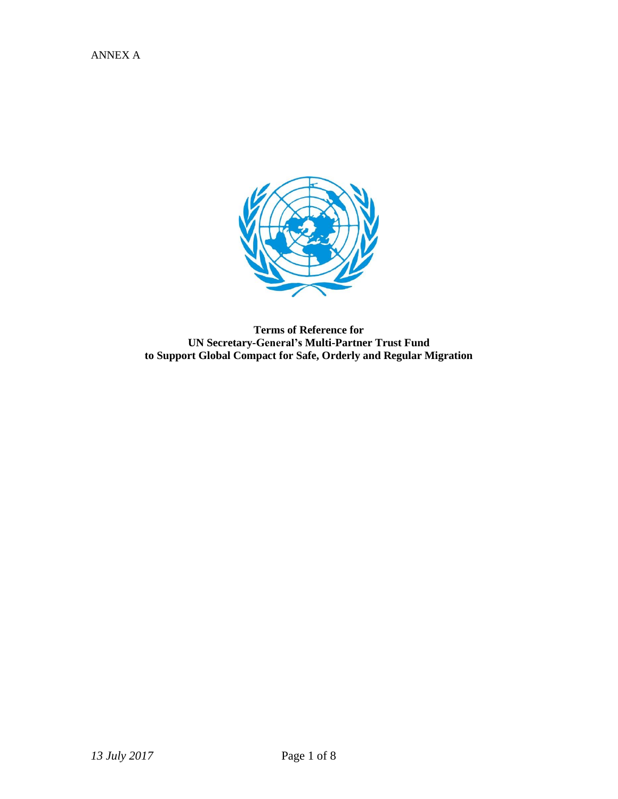

**Terms of Reference for UN Secretary-General's Multi-Partner Trust Fund to Support Global Compact for Safe, Orderly and Regular Migration**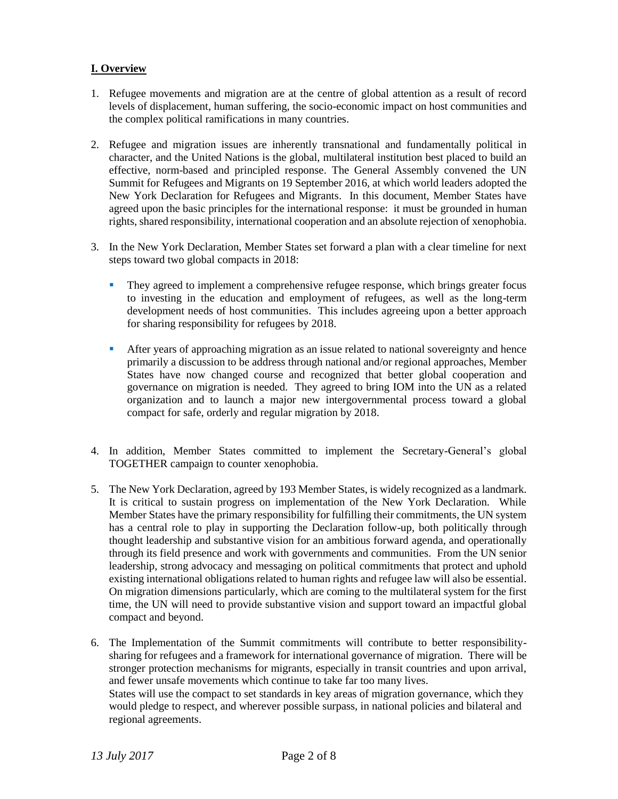# **I. Overview**

- 1. Refugee movements and migration are at the centre of global attention as a result of record levels of displacement, human suffering, the socio-economic impact on host communities and the complex political ramifications in many countries.
- 2. Refugee and migration issues are inherently transnational and fundamentally political in character, and the United Nations is the global, multilateral institution best placed to build an effective, norm-based and principled response. The General Assembly convened the UN Summit for Refugees and Migrants on 19 September 2016, at which world leaders adopted the New York Declaration for Refugees and Migrants. In this document, Member States have agreed upon the basic principles for the international response: it must be grounded in human rights, shared responsibility, international cooperation and an absolute rejection of xenophobia.
- 3. In the New York Declaration, Member States set forward a plan with a clear timeline for next steps toward two global compacts in 2018:
	- They agreed to implement a comprehensive refugee response, which brings greater focus to investing in the education and employment of refugees, as well as the long-term development needs of host communities. This includes agreeing upon a better approach for sharing responsibility for refugees by 2018.
	- After years of approaching migration as an issue related to national sovereignty and hence primarily a discussion to be address through national and/or regional approaches, Member States have now changed course and recognized that better global cooperation and governance on migration is needed. They agreed to bring IOM into the UN as a related organization and to launch a major new intergovernmental process toward a global compact for safe, orderly and regular migration by 2018.
- 4. In addition, Member States committed to implement the Secretary-General's global TOGETHER campaign to counter xenophobia.
- 5. The New York Declaration, agreed by 193 Member States, is widely recognized as a landmark. It is critical to sustain progress on implementation of the New York Declaration. While Member States have the primary responsibility for fulfilling their commitments, the UN system has a central role to play in supporting the Declaration follow-up, both politically through thought leadership and substantive vision for an ambitious forward agenda, and operationally through its field presence and work with governments and communities. From the UN senior leadership, strong advocacy and messaging on political commitments that protect and uphold existing international obligations related to human rights and refugee law will also be essential. On migration dimensions particularly, which are coming to the multilateral system for the first time, the UN will need to provide substantive vision and support toward an impactful global compact and beyond.
- 6. The Implementation of the Summit commitments will contribute to better responsibilitysharing for refugees and a framework for international governance of migration. There will be stronger protection mechanisms for migrants, especially in transit countries and upon arrival, and fewer unsafe movements which continue to take far too many lives. States will use the compact to set standards in key areas of migration governance, which they would pledge to respect, and wherever possible surpass, in national policies and bilateral and regional agreements.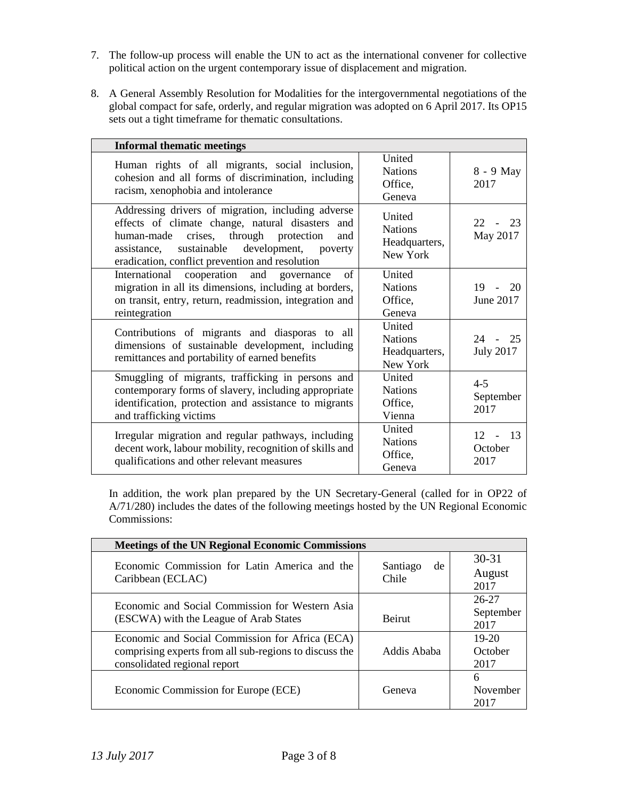- 7. The follow-up process will enable the UN to act as the international convener for collective political action on the urgent contemporary issue of displacement and migration.
- 8. A General Assembly Resolution for Modalities for the intergovernmental negotiations of the global compact for safe, orderly, and regular migration was adopted on 6 April 2017. Its OP15 sets out a tight timeframe for thematic consultations.

| <b>Informal thematic meetings</b>                                                                                                                                                                                                                  |                  |                                                       |                                        |
|----------------------------------------------------------------------------------------------------------------------------------------------------------------------------------------------------------------------------------------------------|------------------|-------------------------------------------------------|----------------------------------------|
| Human rights of all migrants, social inclusion,<br>cohesion and all forms of discrimination, including<br>racism, xenophobia and intolerance                                                                                                       |                  | United<br><b>Nations</b><br>Office,<br>Geneva         | 8 - 9 May<br>2017                      |
| Addressing drivers of migration, including adverse<br>effects of climate change, natural disasters and<br>human-made crises, through protection<br>assistance, sustainable development, poverty<br>eradication, conflict prevention and resolution | and              | United<br><b>Nations</b><br>Headquarters,<br>New York | - 23<br>22 <sub>1</sub><br>May 2017    |
| International cooperation and<br>migration in all its dimensions, including at borders,<br>on transit, entry, return, readmission, integration and<br>reintegration                                                                                | of<br>governance | United<br><b>Nations</b><br>Office,<br>Geneva         | $19 - 20$<br>June 2017                 |
| Contributions of migrants and diasporas to all<br>dimensions of sustainable development, including<br>remittances and portability of earned benefits                                                                                               |                  | United<br><b>Nations</b><br>Headquarters,<br>New York | $24 - 25$<br><b>July 2017</b>          |
| Smuggling of migrants, trafficking in persons and<br>contemporary forms of slavery, including appropriate<br>identification, protection and assistance to migrants<br>and trafficking victims                                                      |                  | United<br><b>Nations</b><br>Office,<br>Vienna         | $4 - 5$<br>September<br>2017           |
| Irregular migration and regular pathways, including<br>decent work, labour mobility, recognition of skills and<br>qualifications and other relevant measures                                                                                       |                  | United<br><b>Nations</b><br>Office,<br>Geneva         | -13<br>12<br>$\sim$<br>October<br>2017 |

In addition, the work plan prepared by the UN Secretary-General (called for in OP22 of A/71/280) includes the dates of the following meetings hosted by the UN Regional Economic Commissions:

| <b>Meetings of the UN Regional Economic Commissions</b>                                                                                   |                         |                                |  |  |
|-------------------------------------------------------------------------------------------------------------------------------------------|-------------------------|--------------------------------|--|--|
| Economic Commission for Latin America and the<br>Caribbean (ECLAC)                                                                        | Santiago<br>de<br>Chile | $30 - 31$<br>August<br>2017    |  |  |
| Economic and Social Commission for Western Asia<br>(ESCWA) with the League of Arab States                                                 | <b>Beirut</b>           | $26 - 27$<br>September<br>2017 |  |  |
| Economic and Social Commission for Africa (ECA)<br>comprising experts from all sub-regions to discuss the<br>consolidated regional report | Addis Ababa             | $19-20$<br>October<br>2017     |  |  |
| Economic Commission for Europe (ECE)                                                                                                      | Geneva                  | 6<br>November<br>2017          |  |  |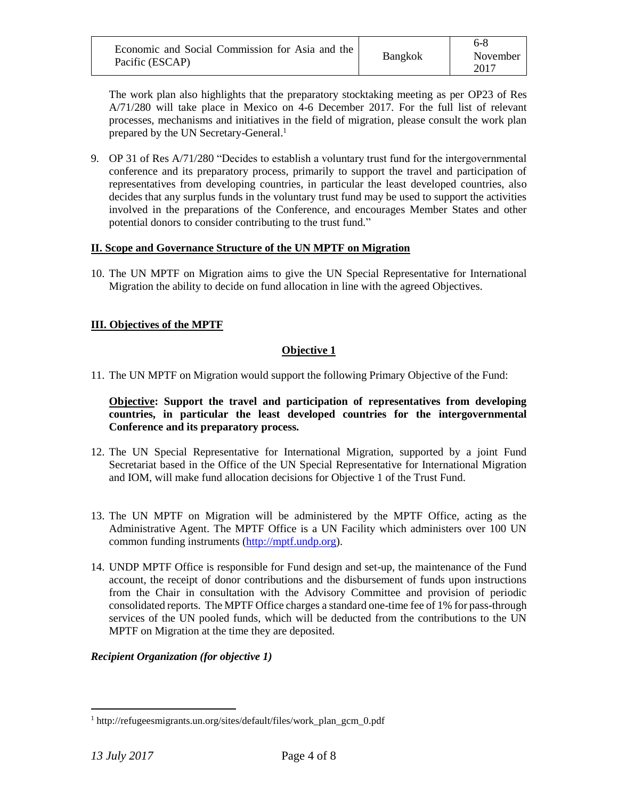| Economic and Social Commission for Asia and the<br>Pacific (ESCAP) | Bangkok | November<br>2017 |
|--------------------------------------------------------------------|---------|------------------|
|--------------------------------------------------------------------|---------|------------------|

The work plan also highlights that the preparatory stocktaking meeting as per OP23 of Res A/71/280 will take place in Mexico on 4-6 December 2017. For the full list of relevant processes, mechanisms and initiatives in the field of migration, please consult the work plan prepared by the UN Secretary-General.<sup>1</sup>

9. OP 31 of Res A/71/280 "Decides to establish a voluntary trust fund for the intergovernmental conference and its preparatory process, primarily to support the travel and participation of representatives from developing countries, in particular the least developed countries, also decides that any surplus funds in the voluntary trust fund may be used to support the activities involved in the preparations of the Conference, and encourages Member States and other potential donors to consider contributing to the trust fund."

#### **II. Scope and Governance Structure of the UN MPTF on Migration**

10. The UN MPTF on Migration aims to give the UN Special Representative for International Migration the ability to decide on fund allocation in line with the agreed Objectives.

# **III. Objectives of the MPTF**

# **Objective 1**

11. The UN MPTF on Migration would support the following Primary Objective of the Fund:

**Objective: Support the travel and participation of representatives from developing countries, in particular the least developed countries for the intergovernmental Conference and its preparatory process.**

- 12. The UN Special Representative for International Migration, supported by a joint Fund Secretariat based in the Office of the UN Special Representative for International Migration and IOM, will make fund allocation decisions for Objective 1 of the Trust Fund.
- 13. The UN MPTF on Migration will be administered by the MPTF Office, acting as the Administrative Agent. The MPTF Office is a UN Facility which administers over 100 UN common funding instruments [\(http://mptf.undp.org\)](http://mptf.undp.org/).
- 14. UNDP MPTF Office is responsible for Fund design and set-up, the maintenance of the Fund account, the receipt of donor contributions and the disbursement of funds upon instructions from the Chair in consultation with the Advisory Committee and provision of periodic consolidated reports. The MPTF Office charges a standard one-time fee of 1% for pass-through services of the UN pooled funds, which will be deducted from the contributions to the UN MPTF on Migration at the time they are deposited.

# *Recipient Organization (for objective 1)*

 $\overline{a}$ 

<sup>1</sup> http://refugeesmigrants.un.org/sites/default/files/work\_plan\_gcm\_0.pdf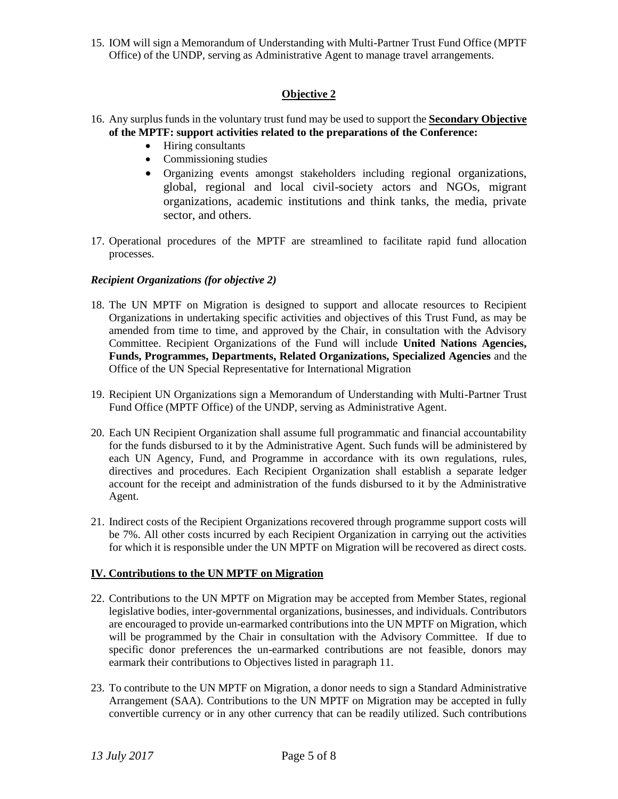15. IOM will sign a Memorandum of Understanding with Multi-Partner Trust Fund Office (MPTF Office) of the UNDP, serving as Administrative Agent to manage travel arrangements.

# **Objective 2**

- 16. Any surplus funds in the voluntary trust fund may be used to support the **Secondary Objective of the MPTF: support activities related to the preparations of the Conference:**
	- Hiring consultants
	- Commissioning studies
	- Organizing events amongst stakeholders including regional organizations, global, regional and local civil-society actors and NGOs, migrant organizations, academic institutions and think tanks, the media, private sector, and others.
- 17. Operational procedures of the MPTF are streamlined to facilitate rapid fund allocation processes.

# *Recipient Organizations (for objective 2)*

- 18. The UN MPTF on Migration is designed to support and allocate resources to Recipient Organizations in undertaking specific activities and objectives of this Trust Fund, as may be amended from time to time, and approved by the Chair, in consultation with the Advisory Committee. Recipient Organizations of the Fund will include **United Nations Agencies, Funds, Programmes, Departments, Related Organizations, Specialized Agencies** and the Office of the UN Special Representative for International Migration
- 19. Recipient UN Organizations sign a Memorandum of Understanding with Multi-Partner Trust Fund Office (MPTF Office) of the UNDP, serving as Administrative Agent.
- 20. Each UN Recipient Organization shall assume full programmatic and financial accountability for the funds disbursed to it by the Administrative Agent. Such funds will be administered by each UN Agency, Fund, and Programme in accordance with its own regulations, rules, directives and procedures. Each Recipient Organization shall establish a separate ledger account for the receipt and administration of the funds disbursed to it by the Administrative Agent.
- 21. Indirect costs of the Recipient Organizations recovered through programme support costs will be 7%. All other costs incurred by each Recipient Organization in carrying out the activities for which it is responsible under the UN MPTF on Migration will be recovered as direct costs.

# **IV. Contributions to the UN MPTF on Migration**

- 22. Contributions to the UN MPTF on Migration may be accepted from Member States, regional legislative bodies, inter-governmental organizations, businesses, and individuals. Contributors are encouraged to provide un-earmarked contributions into the UN MPTF on Migration, which will be programmed by the Chair in consultation with the Advisory Committee. If due to specific donor preferences the un-earmarked contributions are not feasible, donors may earmark their contributions to Objectives listed in paragraph 11.
- 23. To contribute to the UN MPTF on Migration, a donor needs to sign a Standard Administrative Arrangement (SAA). Contributions to the UN MPTF on Migration may be accepted in fully convertible currency or in any other currency that can be readily utilized. Such contributions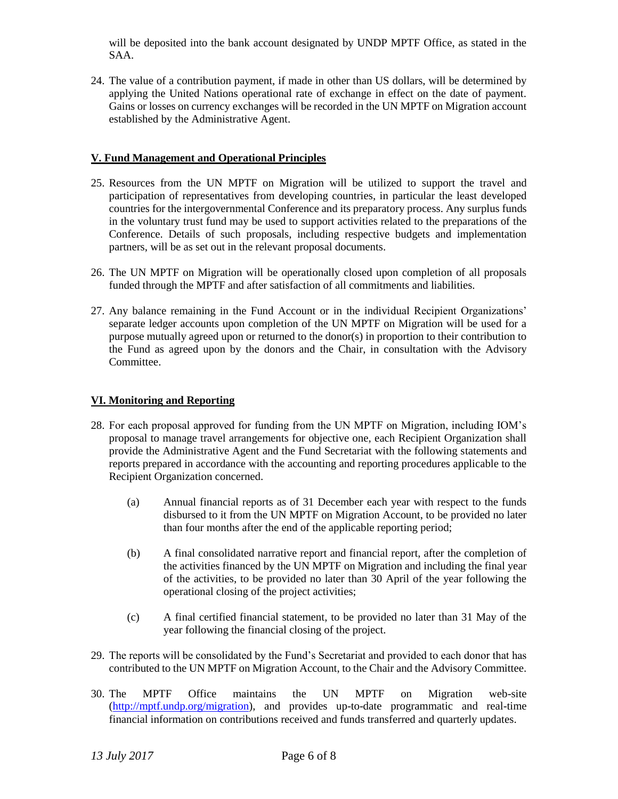will be deposited into the bank account designated by UNDP MPTF Office, as stated in the SAA.

24. The value of a contribution payment, if made in other than US dollars, will be determined by applying the United Nations operational rate of exchange in effect on the date of payment. Gains or losses on currency exchanges will be recorded in the UN MPTF on Migration account established by the Administrative Agent.

#### **V. Fund Management and Operational Principles**

- 25. Resources from the UN MPTF on Migration will be utilized to support the travel and participation of representatives from developing countries, in particular the least developed countries for the intergovernmental Conference and its preparatory process. Any surplus funds in the voluntary trust fund may be used to support activities related to the preparations of the Conference. Details of such proposals, including respective budgets and implementation partners, will be as set out in the relevant proposal documents.
- 26. The UN MPTF on Migration will be operationally closed upon completion of all proposals funded through the MPTF and after satisfaction of all commitments and liabilities.
- 27. Any balance remaining in the Fund Account or in the individual Recipient Organizations' separate ledger accounts upon completion of the UN MPTF on Migration will be used for a purpose mutually agreed upon or returned to the donor(s) in proportion to their contribution to the Fund as agreed upon by the donors and the Chair, in consultation with the Advisory Committee.

### **VI. Monitoring and Reporting**

- 28. For each proposal approved for funding from the UN MPTF on Migration, including IOM's proposal to manage travel arrangements for objective one, each Recipient Organization shall provide the Administrative Agent and the Fund Secretariat with the following statements and reports prepared in accordance with the accounting and reporting procedures applicable to the Recipient Organization concerned.
	- (a) Annual financial reports as of 31 December each year with respect to the funds disbursed to it from the UN MPTF on Migration Account, to be provided no later than four months after the end of the applicable reporting period;
	- (b) A final consolidated narrative report and financial report, after the completion of the activities financed by the UN MPTF on Migration and including the final year of the activities, to be provided no later than 30 April of the year following the operational closing of the project activities;
	- (c) A final certified financial statement, to be provided no later than 31 May of the year following the financial closing of the project.
- 29. The reports will be consolidated by the Fund's Secretariat and provided to each donor that has contributed to the UN MPTF on Migration Account, to the Chair and the Advisory Committee.
- 30. The MPTF Office maintains the UN MPTF on Migration web-site [\(http://mptf.undp.org/migration\)](http://mptf.undp.org/migration), and provides up-to-date programmatic and real-time financial information on contributions received and funds transferred and quarterly updates.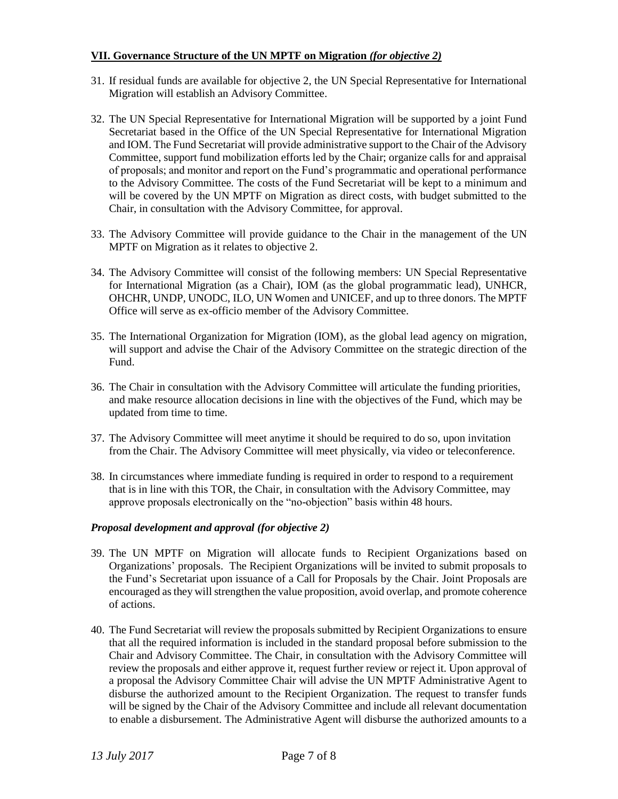### **VII. Governance Structure of the UN MPTF on Migration** *(for objective 2)*

- 31. If residual funds are available for objective 2, the UN Special Representative for International Migration will establish an Advisory Committee.
- 32. The UN Special Representative for International Migration will be supported by a joint Fund Secretariat based in the Office of the UN Special Representative for International Migration and IOM. The Fund Secretariat will provide administrative support to the Chair of the Advisory Committee, support fund mobilization efforts led by the Chair; organize calls for and appraisal of proposals; and monitor and report on the Fund's programmatic and operational performance to the Advisory Committee. The costs of the Fund Secretariat will be kept to a minimum and will be covered by the UN MPTF on Migration as direct costs, with budget submitted to the Chair, in consultation with the Advisory Committee, for approval.
- 33. The Advisory Committee will provide guidance to the Chair in the management of the UN MPTF on Migration as it relates to objective 2.
- 34. The Advisory Committee will consist of the following members: UN Special Representative for International Migration (as a Chair), IOM (as the global programmatic lead), UNHCR, OHCHR, UNDP, UNODC, ILO, UN Women and UNICEF, and up to three donors. The MPTF Office will serve as ex-officio member of the Advisory Committee.
- 35. The International Organization for Migration (IOM), as the global lead agency on migration, will support and advise the Chair of the Advisory Committee on the strategic direction of the Fund.
- 36. The Chair in consultation with the Advisory Committee will articulate the funding priorities, and make resource allocation decisions in line with the objectives of the Fund, which may be updated from time to time.
- 37. The Advisory Committee will meet anytime it should be required to do so, upon invitation from the Chair. The Advisory Committee will meet physically, via video or teleconference.
- 38. In circumstances where immediate funding is required in order to respond to a requirement that is in line with this TOR, the Chair, in consultation with the Advisory Committee, may approve proposals electronically on the "no-objection" basis within 48 hours.

#### *Proposal development and approval (for objective 2)*

- 39. The UN MPTF on Migration will allocate funds to Recipient Organizations based on Organizations' proposals. The Recipient Organizations will be invited to submit proposals to the Fund's Secretariat upon issuance of a Call for Proposals by the Chair. Joint Proposals are encouraged as they will strengthen the value proposition, avoid overlap, and promote coherence of actions.
- 40. The Fund Secretariat will review the proposals submitted by Recipient Organizations to ensure that all the required information is included in the standard proposal before submission to the Chair and Advisory Committee. The Chair, in consultation with the Advisory Committee will review the proposals and either approve it, request further review or reject it. Upon approval of a proposal the Advisory Committee Chair will advise the UN MPTF Administrative Agent to disburse the authorized amount to the Recipient Organization. The request to transfer funds will be signed by the Chair of the Advisory Committee and include all relevant documentation to enable a disbursement. The Administrative Agent will disburse the authorized amounts to a